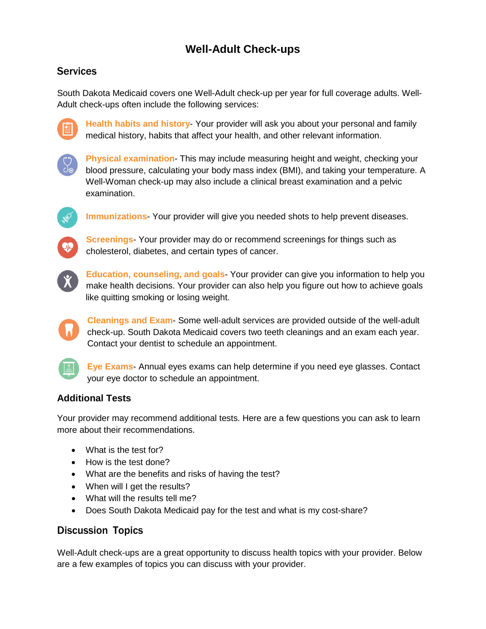# **Well-Adult Check-ups**

## **Services**

South Dakota Medicaid covers one Well-Adult check-up per year for full coverage adults. Well-Adult check-ups often include the following services:



**Health habits and history**- Your provider will ask you about your personal and family medical history, habits that affect your health, and other relevant information.



**Physical examination**- This may include measuring height and weight, checking your blood pressure, calculating your body mass index (BMI), and taking your temperature. A Well-Woman check-up may also include a clinical breast examination and a pelvic examination.



**Immunizations**- Your provider will give you needed shots to help prevent diseases.



**Screenings**- Your provider may do or recommend screenings for things such as cholesterol, diabetes, and certain types of cancer.



**Education, counseling, and goals**- Your provider can give you information to help you make health decisions. Your provider can also help you figure out how to achieve goals like quitting smoking or losing weight.

**Cleanings and Exam**- Some well-adult services are provided outside of the well-adult check-up. South Dakota Medicaid covers two teeth cleanings and an exam each year. Contact your dentist to schedule an appointment.



**Eye Exams**- Annual eyes exams can help determine if you need eye glasses. Contact your eye doctor to schedule an appointment.

#### **Additional Tests**

Your provider may recommend additional tests. Here are a few questions you can ask to learn more about their recommendations.

- What is the test for?
- How is the test done?
- What are the benefits and risks of having the test?
- When will I get the results?
- What will the results tell me?
- Does South Dakota Medicaid pay for the test and what is my cost-share?

### Discussion Topics

Well-Adult check-ups are a great opportunity to discuss health topics with your provider. Below are a few examples of topics you can discuss with your provider.